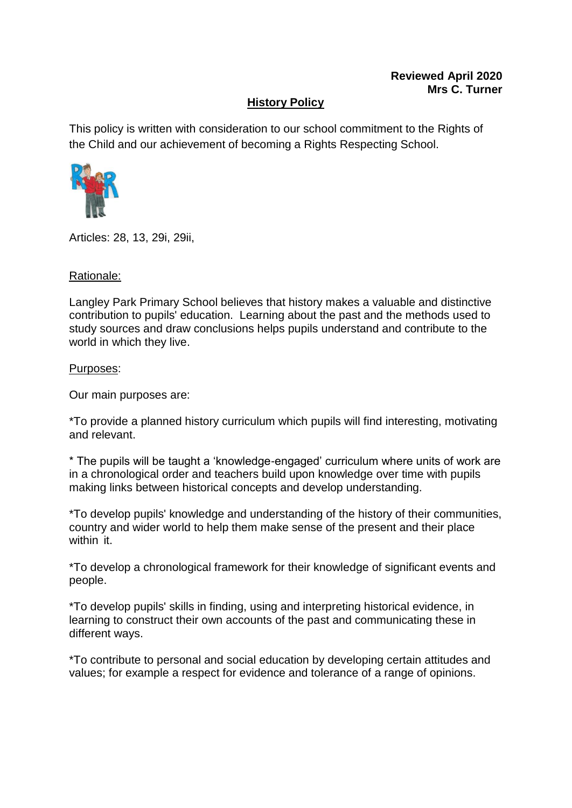## **History Policy**

This policy is written with consideration to our school commitment to the Rights of the Child and our achievement of becoming a Rights Respecting School.



Articles: 28, 13, 29i, 29ii,

#### Rationale:

Langley Park Primary School believes that history makes a valuable and distinctive contribution to pupils' education. Learning about the past and the methods used to study sources and draw conclusions helps pupils understand and contribute to the world in which they live.

#### Purposes:

Our main purposes are:

\*To provide a planned history curriculum which pupils will find interesting, motivating and relevant.

\* The pupils will be taught a 'knowledge-engaged' curriculum where units of work are in a chronological order and teachers build upon knowledge over time with pupils making links between historical concepts and develop understanding.

\*To develop pupils' knowledge and understanding of the history of their communities, country and wider world to help them make sense of the present and their place within it.

\*To develop a chronological framework for their knowledge of significant events and people.

\*To develop pupils' skills in finding, using and interpreting historical evidence, in learning to construct their own accounts of the past and communicating these in different ways.

\*To contribute to personal and social education by developing certain attitudes and values; for example a respect for evidence and tolerance of a range of opinions.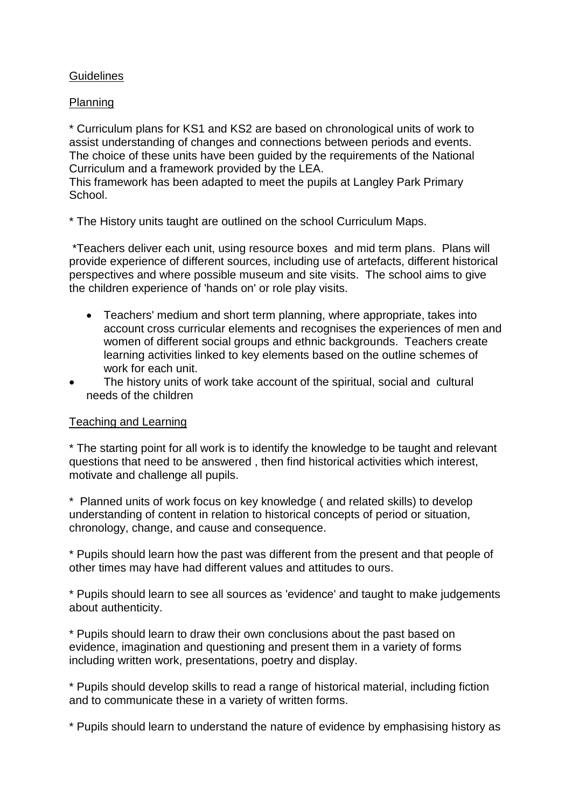## **Guidelines**

## Planning

\* Curriculum plans for KS1 and KS2 are based on chronological units of work to assist understanding of changes and connections between periods and events. The choice of these units have been guided by the requirements of the National Curriculum and a framework provided by the LEA.

This framework has been adapted to meet the pupils at Langley Park Primary School.

\* The History units taught are outlined on the school Curriculum Maps.

\*Teachers deliver each unit, using resource boxes and mid term plans. Plans will provide experience of different sources, including use of artefacts, different historical perspectives and where possible museum and site visits. The school aims to give the children experience of 'hands on' or role play visits.

- Teachers' medium and short term planning, where appropriate, takes into account cross curricular elements and recognises the experiences of men and women of different social groups and ethnic backgrounds. Teachers create learning activities linked to key elements based on the outline schemes of work for each unit.
- The history units of work take account of the spiritual, social and cultural needs of the children

## Teaching and Learning

\* The starting point for all work is to identify the knowledge to be taught and relevant questions that need to be answered , then find historical activities which interest, motivate and challenge all pupils.

\* Planned units of work focus on key knowledge ( and related skills) to develop understanding of content in relation to historical concepts of period or situation, chronology, change, and cause and consequence.

\* Pupils should learn how the past was different from the present and that people of other times may have had different values and attitudes to ours.

\* Pupils should learn to see all sources as 'evidence' and taught to make judgements about authenticity.

\* Pupils should learn to draw their own conclusions about the past based on evidence, imagination and questioning and present them in a variety of forms including written work, presentations, poetry and display.

\* Pupils should develop skills to read a range of historical material, including fiction and to communicate these in a variety of written forms.

\* Pupils should learn to understand the nature of evidence by emphasising history as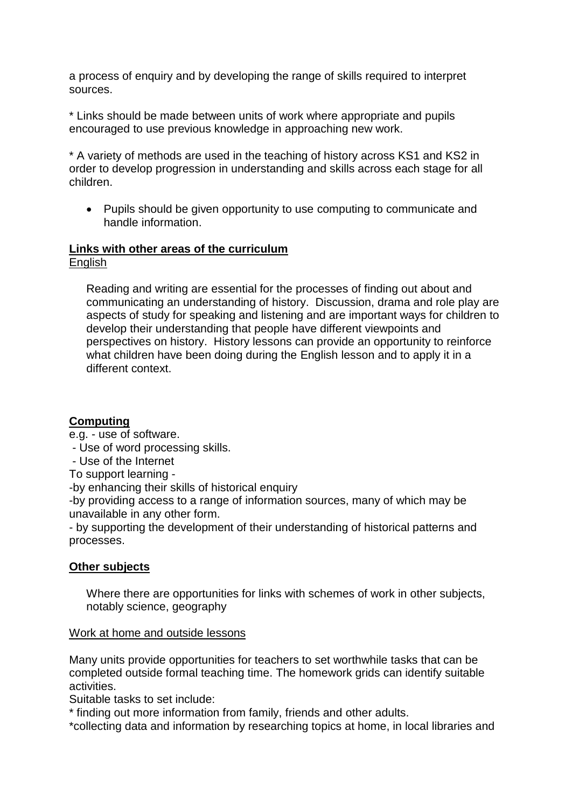a process of enquiry and by developing the range of skills required to interpret sources.

\* Links should be made between units of work where appropriate and pupils encouraged to use previous knowledge in approaching new work.

\* A variety of methods are used in the teaching of history across KS1 and KS2 in order to develop progression in understanding and skills across each stage for all children.

• Pupils should be given opportunity to use computing to communicate and handle information.

## **Links with other areas of the curriculum**

English

Reading and writing are essential for the processes of finding out about and communicating an understanding of history. Discussion, drama and role play are aspects of study for speaking and listening and are important ways for children to develop their understanding that people have different viewpoints and perspectives on history. History lessons can provide an opportunity to reinforce what children have been doing during the English lesson and to apply it in a different context.

## **Computing**

e.g. - use of software.

- Use of word processing skills.
- Use of the Internet

To support learning -

-by enhancing their skills of historical enquiry

-by providing access to a range of information sources, many of which may be unavailable in any other form.

- by supporting the development of their understanding of historical patterns and processes.

# **Other subjects**

Where there are opportunities for links with schemes of work in other subjects, notably science, geography

## Work at home and outside lessons

Many units provide opportunities for teachers to set worthwhile tasks that can be completed outside formal teaching time. The homework grids can identify suitable activities.

Suitable tasks to set include:

\* finding out more information from family, friends and other adults.

\*collecting data and information by researching topics at home, in local libraries and